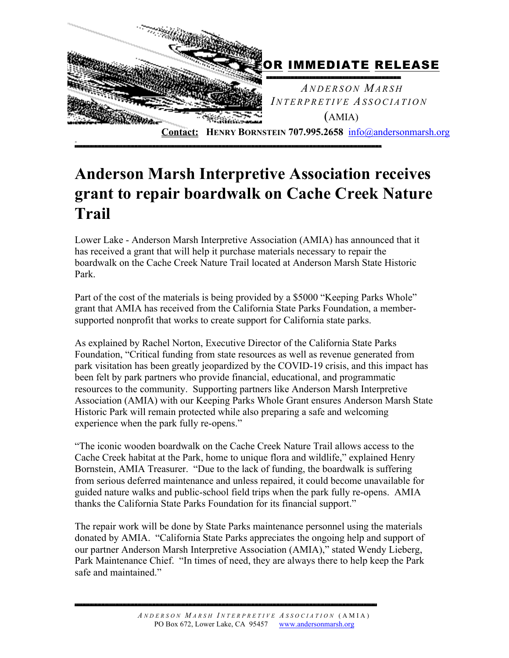

## **Anderson Marsh Interpretive Association receives grant to repair boardwalk on Cache Creek Nature Trail**

Lower Lake - Anderson Marsh Interpretive Association (AMIA) has announced that it has received a grant that will help it purchase materials necessary to repair the boardwalk on the Cache Creek Nature Trail located at Anderson Marsh State Historic Park.

Part of the cost of the materials is being provided by a \$5000 "Keeping Parks Whole" grant that AMIA has received from the California State Parks Foundation, a membersupported nonprofit that works to create support for California state parks.

As explained by Rachel Norton, Executive Director of the California State Parks Foundation, "Critical funding from state resources as well as revenue generated from park visitation has been greatly jeopardized by the COVID-19 crisis, and this impact has been felt by park partners who provide financial, educational, and programmatic resources to the community. Supporting partners like Anderson Marsh Interpretive Association (AMIA) with our Keeping Parks Whole Grant ensures Anderson Marsh State Historic Park will remain protected while also preparing a safe and welcoming experience when the park fully re-opens."

"The iconic wooden boardwalk on the Cache Creek Nature Trail allows access to the Cache Creek habitat at the Park, home to unique flora and wildlife," explained Henry Bornstein, AMIA Treasurer. "Due to the lack of funding, the boardwalk is suffering from serious deferred maintenance and unless repaired, it could become unavailable for guided nature walks and public-school field trips when the park fully re-opens. AMIA thanks the California State Parks Foundation for its financial support."

The repair work will be done by State Parks maintenance personnel using the materials donated by AMIA. "California State Parks appreciates the ongoing help and support of our partner Anderson Marsh Interpretive Association (AMIA)," stated Wendy Lieberg, Park Maintenance Chief. "In times of need, they are always there to help keep the Park safe and maintained."